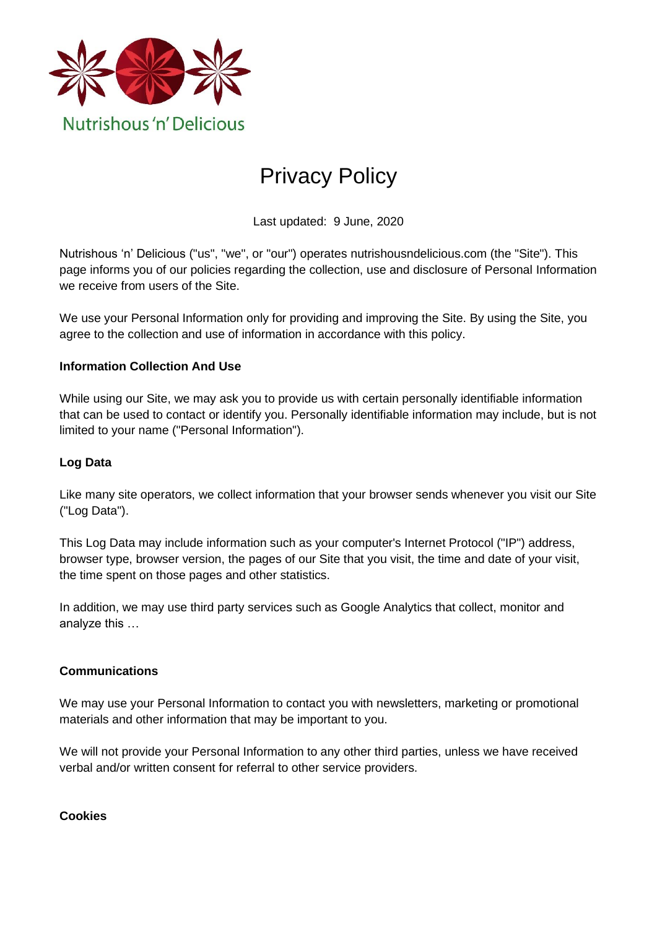

# Privacy Policy

Last updated: 9 June, 2020

Nutrishous 'n' Delicious ("us", "we", or "our") operates nutrishousndelicious.com (the "Site"). This page informs you of our policies regarding the collection, use and disclosure of Personal Information we receive from users of the Site.

We use your Personal Information only for providing and improving the Site. By using the Site, you agree to the collection and use of information in accordance with this policy.

#### **Information Collection And Use**

While using our Site, we may ask you to provide us with certain personally identifiable information that can be used to contact or identify you. Personally identifiable information may include, but is not limited to your name ("Personal Information").

## **Log Data**

Like many site operators, we collect information that your browser sends whenever you visit our Site ("Log Data").

This Log Data may include information such as your computer's Internet Protocol ("IP") address, browser type, browser version, the pages of our Site that you visit, the time and date of your visit, the time spent on those pages and other statistics.

In addition, we may use third party services such as Google Analytics that collect, monitor and analyze this …

#### **Communications**

We may use your Personal Information to contact you with newsletters, marketing or promotional materials and other information that may be important to you.

We will not provide your Personal Information to any other third parties, unless we have received verbal and/or written consent for referral to other service providers.

**Cookies**